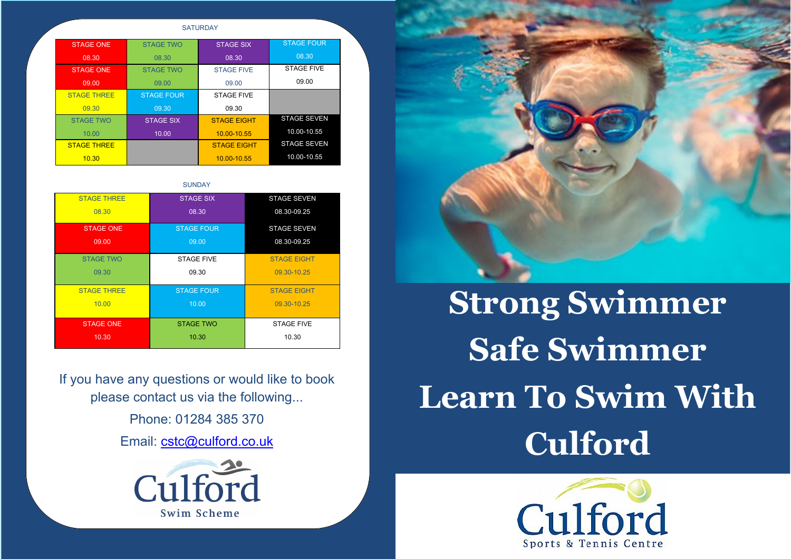If you have any questions or would like to book please contact us via the following...

Phone: 01284 385 370

Email: cstc@culford.co.uk





**SATURDAY** 

| <b>STAGE ONE</b>   | <b>STAGE TWO</b>  | <b>STAGE SIX</b>   | <b>STAGE FOUR</b>  |
|--------------------|-------------------|--------------------|--------------------|
| 08.30              | 08.30             | 08.30              | 08.30              |
| <b>STAGE ONE</b>   | <b>STAGE TWO</b>  | <b>STAGE FIVE</b>  | <b>STAGE FIVE</b>  |
| 09.00              | 09.00             | 09.00              | 09.00              |
| <b>STAGE THREE</b> | <b>STAGE FOUR</b> | <b>STAGE FIVE</b>  |                    |
| 09.30              | 09.30             | 09.30              |                    |
| <b>STAGE TWO</b>   | <b>STAGE SIX</b>  | <b>STAGE EIGHT</b> | <b>STAGE SEVEN</b> |
| 10.00              | 10.00             | 10.00-10.55        | 10.00-10.55        |
| <b>STAGE THREE</b> |                   | <b>STAGE EIGHT</b> | <b>STAGE SEVEN</b> |
| 10.30              |                   | 10.00-10.55        | 10.00-10.55        |

**SUNDAY** 

| <b>STAGE THREE</b> | <b>STAGE SIX</b>  | <b>STAGE SEVEN</b> |
|--------------------|-------------------|--------------------|
| 08.30              | 08.30             | 08.30-09.25        |
| <b>STAGE ONE</b>   | <b>STAGE FOUR</b> | <b>STAGE SEVEN</b> |
| 09.00              | 09.00             | 08.30-09.25        |
| <b>STAGE TWO</b>   | <b>STAGE FIVE</b> | <b>STAGE EIGHT</b> |
| 09.30              | 09.30             | 09.30-10.25        |
| <b>STAGE THREE</b> | <b>STAGE FOUR</b> | <b>STAGE EIGHT</b> |
| 10.00              | 10.00             | 09.30-10.25        |
| <b>STAGE ONE</b>   | <b>STAGE TWO</b>  | <b>STAGE FIVE</b>  |
| 10.30              | 10.30             | 10.30              |

## **Strong Swimmer Safe Swimmer Learn To Swim With Culford**